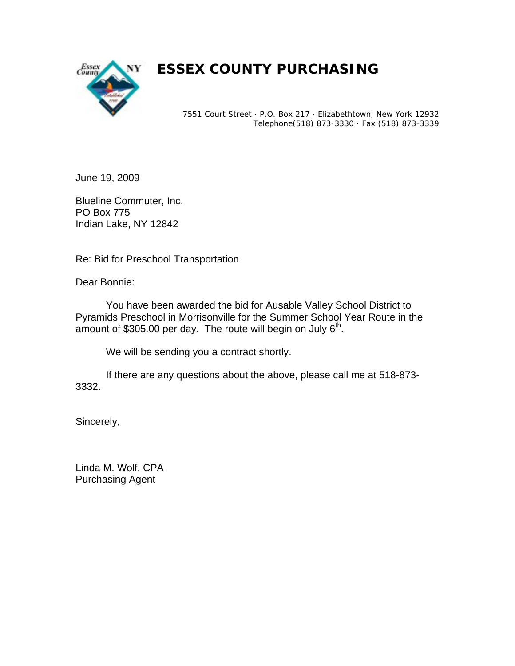

## *ESSEX COUNTY PURCHASING*

7551 Court Street · P.O. Box 217 · Elizabethtown, New York 12932 Telephone(518) 873-3330 · Fax (518) 873-3339

June 19, 2009

Blueline Commuter, Inc. PO Box 775 Indian Lake, NY 12842

Re: Bid for Preschool Transportation

Dear Bonnie:

 You have been awarded the bid for Ausable Valley School District to Pyramids Preschool in Morrisonville for the Summer School Year Route in the amount of \$305.00 per day. The route will begin on July  $6<sup>th</sup>$ .

We will be sending you a contract shortly.

 If there are any questions about the above, please call me at 518-873- 3332.

Sincerely,

Linda M. Wolf, CPA Purchasing Agent